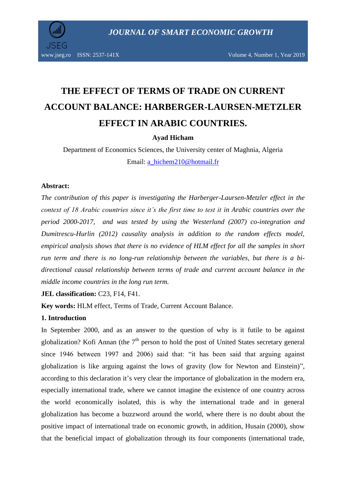

www.jseg.ro ISSN: 2537-141X Volume 4, Number 1, Year 2019

# **THE EFFECT OF TERMS OF TRADE ON CURRENT ACCOUNT BALANCE: HARBERGER-LAURSEN-METZLER EFFECT IN ARABIC COUNTRIES.**

# **Ayad Hicham**

Department of Economics Sciences, the University center of Maghnia, Algeria Email: [a\\_hichem210@hotmail.fr](mailto:a_hichem210@hotmail.fr)

#### **Abstract:**

*The contribution of this paper is investigating the Harberger-Laursen-Metzler effect in the context of 18 Arabic countries since it's the first time to test it in Arabic countries over the period 2000-2017, and was tested by using the Westerlund (2007) co-integration and Dumitrescu-Hurlin (2012) causality analysis in addition to the random effects model, empirical analysis shows that there is no evidence of HLM effect for all the samples in short*  run term and there is no long-run relationship between the variables, but there is a bi*directional causal relationship between terms of trade and current account balance in the middle income countries in the long run term.*

**JEL classification: C23, F14, F41.** 

**Key words:** HLM effect, Terms of Trade, Current Account Balance.

#### **1. Introduction**

In September 2000, and as an answer to the question of why is it futile to be against globalization? Kofi Annan (the  $7<sup>th</sup>$  person to hold the post of United States secretary general since 1946 between 1997 and 2006) said that: "it has been said that arguing against globalization is like arguing against the lows of gravity (low for Newton and Einstein)", according to this declaration it's very clear the importance of globalization in the modern era, especially international trade, where we cannot imagine the existence of one country across the world economically isolated, this is why the international trade and in general globalization has become a buzzword around the world, where there is no doubt about the positive impact of international trade on economic growth, in addition, Husain (2000), show that the beneficial impact of globalization through its four components (international trade,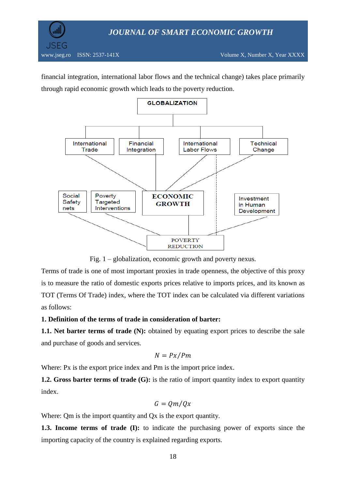

financial integration, international labor flows and the technical change) takes place primarily through rapid economic growth which leads to the poverty reduction.



Fig. 1 – globalization, economic growth and poverty nexus.

Terms of trade is one of most important proxies in trade openness, the objective of this proxy is to measure the ratio of domestic exports prices relative to imports prices, and its known as TOT (Terms Of Trade) index, where the TOT index can be calculated via different variations as follows:

# **1. Definition of the terms of trade in consideration of barter:**

**1.1. Net barter terms of trade (N):** obtained by equating export prices to describe the sale and purchase of goods and services.

$$
N = Px/Pm
$$

Where: Px is the export price index and Pm is the import price index.

**1.2. Gross barter terms of trade (G):** is the ratio of import quantity index to export quantity index.

$$
G=Qm/Qx
$$

Where: Qm is the import quantity and Qx is the export quantity.

**1.3. Income terms of trade (I):** to indicate the purchasing power of exports since the importing capacity of the country is explained regarding exports.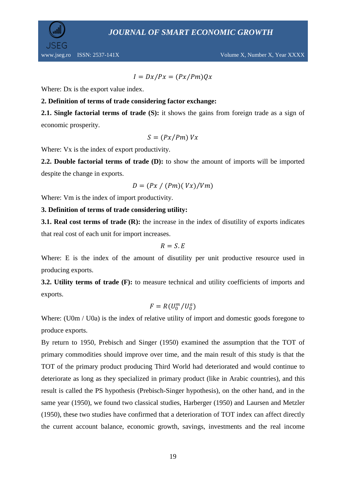

 $I = Dx/Px = (Px/Pm)Qx$ 

Where: Dx is the export value index.

# **2. Definition of terms of trade considering factor exchange:**

**2.1. Single factorial terms of trade (S):** it shows the gains from foreign trade as a sign of economic prosperity.

$$
S = (Px/Pm) Vx
$$

Where: Vx is the index of export productivity.

**2.2. Double factorial terms of trade (D):** to show the amount of imports will be imported despite the change in exports.

$$
D = (Px / (Pm)(Vx) / Vm)
$$

Where: Vm is the index of import productivity.

# **3. Definition of terms of trade considering utility:**

**3.1. Real cost terms of trade (R):** the increase in the index of disutility of exports indicates that real cost of each unit for import increases.

$$
R=S.E
$$

Where: E is the index of the amount of disutility per unit productive resource used in producing exports.

**3.2. Utility terms of trade (F):** to measure technical and utility coefficients of imports and exports.

$$
F=R(U_0^m/U_0^a)
$$

Where: (U0m / U0a) is the index of relative utility of import and domestic goods foregone to produce exports.

By return to 1950, Prebisch and Singer (1950) examined the assumption that the TOT of primary commodities should improve over time, and the main result of this study is that the TOT of the primary product producing Third World had deteriorated and would continue to deteriorate as long as they specialized in primary product (like in Arabic countries), and this result is called the PS hypothesis (Prebisch-Singer hypothesis), on the other hand, and in the same year (1950), we found two classical studies, Harberger (1950) and Laursen and Metzler (1950), these two studies have confirmed that a deterioration of TOT index can affect directly the current account balance, economic growth, savings, investments and the real income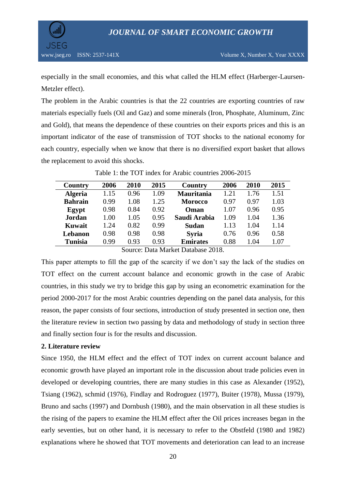

especially in the small economies, and this what called the HLM effect (Harberger-Laursen-Metzler effect).

The problem in the Arabic countries is that the 22 countries are exporting countries of raw materials especially fuels (Oil and Gaz) and some minerals (Iron, Phosphate, Aluminum, Zinc and Gold), that means the dependence of these countries on their exports prices and this is an important indicator of the ease of transmission of TOT shocks to the national economy for each country, especially when we know that there is no diversified export basket that allows the replacement to avoid this shocks.

| Country        | 2006 | 2010 | 2015 | <b>Country</b>    | 2006 | 2010 | 2015 |
|----------------|------|------|------|-------------------|------|------|------|
| <b>Algeria</b> | 1.15 | 0.96 | 1.09 | <b>Mauritania</b> | 1.21 | 1.76 | 1.51 |
| <b>Bahrain</b> | 0.99 | 1.08 | 1.25 | <b>Morocco</b>    | 0.97 | 0.97 | 1.03 |
| Egypt          | 0.98 | 0.84 | 0.92 | Oman              | 1.07 | 0.96 | 0.95 |
| <b>Jordan</b>  | 1.00 | 1.05 | 0.95 | Saudi Arabia      | 1.09 | 1.04 | 1.36 |
| Kuwait         | 1.24 | 0.82 | 0.99 | Sudan             | 1.13 | 1.04 | 1.14 |
| Lebanon        | 0.98 | 0.98 | 0.98 | <b>Syria</b>      | 0.76 | 0.96 | 0.58 |
| <b>Tunisia</b> | 0.99 | 0.93 | 0.93 | <b>Emirates</b>   | 0.88 | 1.04 | 1.07 |

Table 1: the TOT index for Arabic countries 2006-2015

Source: Data Market Database 2018.

This paper attempts to fill the gap of the scarcity if we don't say the lack of the studies on TOT effect on the current account balance and economic growth in the case of Arabic countries, in this study we try to bridge this gap by using an econometric examination for the period 2000-2017 for the most Arabic countries depending on the panel data analysis, for this reason, the paper consists of four sections, introduction of study presented in section one, then the literature review in section two passing by data and methodology of study in section three and finally section four is for the results and discussion.

# **2. Literature review**

Since 1950, the HLM effect and the effect of TOT index on current account balance and economic growth have played an important role in the discussion about trade policies even in developed or developing countries, there are many studies in this case as Alexander (1952), Tsiang (1962), schmid (1976), Findlay and Rodroguez (1977), Buiter (1978), Mussa (1979), Bruno and sachs (1997) and Dornbush (1980), and the main observation in all these studies is the rising of the papers to examine the HLM effect after the Oil prices increases began in the early seventies, but on other hand, it is necessary to refer to the Obstfeld (1980 and 1982) explanations where he showed that TOT movements and deterioration can lead to an increase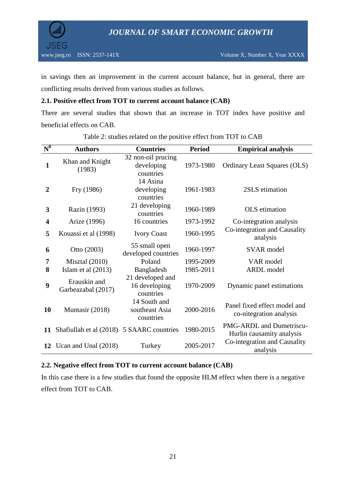

in savings then an improvement in the current account balance, but in general, there are conflicting results derived from various studies as follows.

# **2.1. Positive effect from TOT to current account balance (CAB)**

There are several studies that shown that an increase in TOT index have positive and beneficial effects on CAB.

| $\overline{N}^0$        | <b>Authors</b>                     | <b>Countries</b>                               | <b>Period</b> | <b>Empirical analysis</b>                                    |
|-------------------------|------------------------------------|------------------------------------------------|---------------|--------------------------------------------------------------|
| $\mathbf{1}$            | Khan and Knight<br>(1983)          | 32 non-oil prucing<br>developing<br>countries  | 1973-1980     | Ordinary Least Squares (OLS)                                 |
| $\overline{2}$          | Fry (1986)                         | 14 Asina<br>developing<br>countries            | 1961-1983     | 2SLS etimation                                               |
| 3                       | Razin (1993)                       | 21 developing<br>countries                     | 1960-1989     | OLS etimation                                                |
| $\overline{\mathbf{4}}$ | Arize (1996)                       | 16 countries                                   | 1973-1992     | Co-integration analysis                                      |
| 5                       | Kouassi et al (1998)               | <b>Ivory Coast</b>                             | 1960-1995     | Co-integration and Causality<br>analysis                     |
| 6                       | Otto (2003)                        | 55 small open<br>developed countries           | 1960-1997     | <b>SVAR</b> model                                            |
| 7                       | Misztal $(2010)$                   | Poland                                         | 1995-2009     | VAR model                                                    |
| 8                       | Islam et al (2013)                 | Bangladesh                                     | 1985-2011     | <b>ARDL</b> model                                            |
| 9                       | Erauskin and<br>Garbeazabal (2017) | 21 developed and<br>16 developing<br>countries | 1970-2009     | Dynamic panel estimations                                    |
| 10                      | Muntasir (2018)                    | 14 South and<br>southeast Asia<br>countries    | 2000-2016     | Panel fixed effect model and<br>co-nitegration analysis      |
| 11                      | Shafiullah et al (2018)            | 5 SAARC countries                              | 1980-2015     | <b>PMG-ARDL</b> and Dumetriscu-<br>Hurlin causamity analysis |
| 12                      | Ucan and Unal (2018)               | Turkey                                         | 2005-2017     | Co-integration and Causality<br>analysis                     |

Table 2: studies related on the positive effect from TOT to CAB

# **2.2. Negative effect from TOT to current account balance (CAB)**

In this case there is a few studies that found the opposite HLM effect when there is a negative effect from TOT to CAB.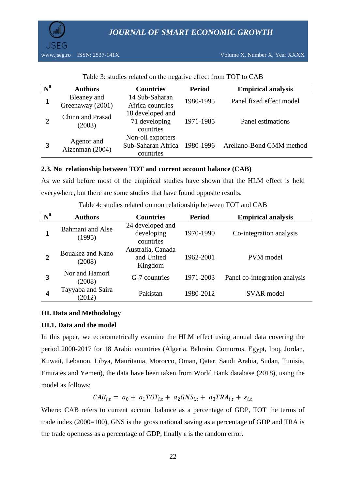

| $\mathbf{N}^0$ | <b>Authors</b>                  | <b>Countries</b>                                     | <b>Period</b> | <b>Empirical analysis</b> |
|----------------|---------------------------------|------------------------------------------------------|---------------|---------------------------|
|                | Bleaney and<br>Greenaway (2001) | 14 Sub-Saharan<br>Africa countries                   | 1980-1995     | Panel fixed effect model  |
|                | Chinn and Prasad<br>(2003)      | 18 developed and<br>71 developing<br>countries       | 1971-1985     | Panel estimations         |
| 3              | Agenor and<br>Aizenman (2004)   | Non-oil exporters<br>Sub-Saharan Africa<br>countries | 1980-1996     | Arellano-Bond GMM method  |

Table 3: studies related on the negative effect from TOT to CAB

# **2.3. No relationship between TOT and current account balance (CAB)**

As we said before most of the empirical studies have shown that the HLM effect is held everywhere, but there are some studies that have found opposite results.

| $\mathbf{N}^0$ | <b>Authors</b>              | <b>Countries</b>                            | <b>Period</b> | <b>Empirical analysis</b>     |
|----------------|-----------------------------|---------------------------------------------|---------------|-------------------------------|
|                | Bahmani and Alse<br>(1995)  | 24 developed and<br>developing<br>countries | 1970-1990     | Co-integration analysis       |
| 2              | Bouakez and Kano<br>(2008)  | Australia, Canada<br>and United<br>Kingdom  | 1962-2001     | PVM model                     |
| 3              | Nor and Hamori<br>(2008)    | G-7 countries                               | 1971-2003     | Panel co-integration analysis |
| 4              | Tayyaba and Saira<br>(2012) | Pakistan                                    | 1980-2012     | <b>SVAR</b> model             |

Table 4: studies related on non relationship between TOT and CAB

# **III. Data and Methodology**

# **III.1. Data and the model**

In this paper, we econometrically examine the HLM effect using annual data covering the period 2000-2017 for 18 Arabic countries (Algeria, Bahrain, Comorros, Egypt, Iraq, Jordan, Kuwait, Lebanon, Libya, Mauritania, Morocco, Oman, Qatar, Saudi Arabia, Sudan, Tunisia, Emirates and Yemen), the data have been taken from World Bank database (2018), using the model as follows:

 $CAB_{i,t} = a_0 + a_1 TOT_{i,t} + a_2 GNS_{i,t} + a_3 TRA_{i,t} + \varepsilon_{i,t}$ 

Where: CAB refers to current account balance as a percentage of GDP, TOT the terms of trade index (2000=100), GNS is the gross national saving as a percentage of GDP and TRA is the trade openness as a percentage of GDP, finally  $\varepsilon$  is the random error.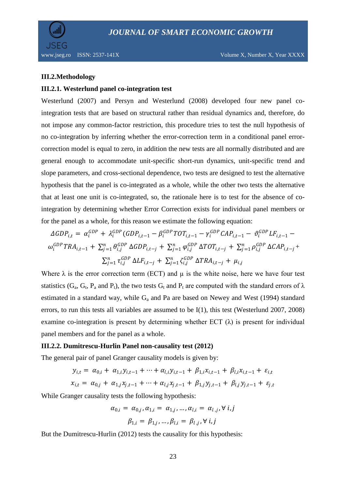

#### **III.2.Methodology**

#### **III.2.1. Westerlund panel co-integration test**

Westerlund (2007) and Persyn and Westerlund (2008) developed four new panel cointegration tests that are based on structural rather than residual dynamics and, therefore, do not impose any common-factor restriction, this procedure tries to test the null hypothesis of no co-integration by inferring whether the error-correction term in a conditional panel errorcorrection model is equal to zero, in addition the new tests are all normally distributed and are general enough to accommodate unit-specific short-run dynamics, unit-specific trend and slope parameters, and cross-sectional dependence, two tests are designed to test the alternative hypothesis that the panel is co-integrated as a whole, while the other two tests the alternative that at least one unit is co-integrated, so, the rationale here is to test for the absence of cointegration by determining whether Error Correction exists for individual panel members or for the panel as a whole, for this reason we estimate the following equation:

$$
\Delta GDP_{i,t} = \alpha_i^{GDP} + \lambda_i^{GDP} (GDP_{i,t-1} - \beta_i^{GDP} TOT_{i,t-1} - \gamma_i^{GDP} CAP_{i,t-1} - \vartheta_i^{GDP} LF_{i,t-1} - \omega_i^{GDP} TRA_{i,t-1} + \sum_{j=1}^n \theta_{i,j}^{GDP} \Delta GDP_{i,t-j} + \sum_{j=1}^n \varphi_{i,j}^{GDP} \Delta TOT_{i,t-j} + \sum_{j=1}^n \rho_{i,j}^{GDP} \Delta CAP_{i,t-j} + \sum_{j=1}^n \tau_{i,j}^{GDP} \Delta LF_{i,t-j} + \sum_{j=1}^n \zeta_{i,j}^{GDP} \Delta TRA_{i,t-j} + \mu_{i,j}
$$

Where  $\lambda$  is the error correction term (ECT) and  $\mu$  is the white noise, here we have four test statistics (G<sub>a</sub>, G<sub>t</sub>, P<sub>a</sub> and P<sub>t</sub>), the two tests G<sub>t</sub> and P<sub>t</sub> are computed with the standard errors of  $\lambda$ estimated in a standard way, while  $G_a$  and Pa are based on Newey and West (1994) standard errors, to run this tests all variables are assumed to be I(1), this test (Westerlund 2007, 2008) examine co-integration is present by determining whether ECT  $(\lambda)$  is present for individual panel members and for the panel as a whole.

#### **III.2.2. Dumitrescu-Hurlin Panel non-causality test (2012)**

The general pair of panel Granger causality models is given by:

$$
y_{i,t} = \alpha_{0,i} + \alpha_{1,i} y_{i,t-1} + \dots + \alpha_{l,i} y_{i,t-1} + \beta_{1,i} x_{i,t-1} + \beta_{l,i} x_{i,t-1} + \varepsilon_{i,t}
$$
  

$$
x_{i,t} = \alpha_{0,j} + \alpha_{1,j} x_{j,t-1} + \dots + \alpha_{l,j} x_{j,t-1} + \beta_{1,j} y_{j,t-1} + \beta_{l,j} y_{j,t-1} + \varepsilon_{j,t}
$$

While Granger causality tests the following hypothesis:

$$
\alpha_{0,i} = \alpha_{0,j}, \alpha_{1,i} = \alpha_{1,j}, ..., \alpha_{l,i} = \alpha_{l,j}, \forall i, j
$$
  

$$
\beta_{1,i} = \beta_{1,j}, ..., \beta_{l,i} = \beta_{l,j}, \forall i, j
$$

But the Dumitrescu-Hurlin (2012) tests the causality for this hypothesis: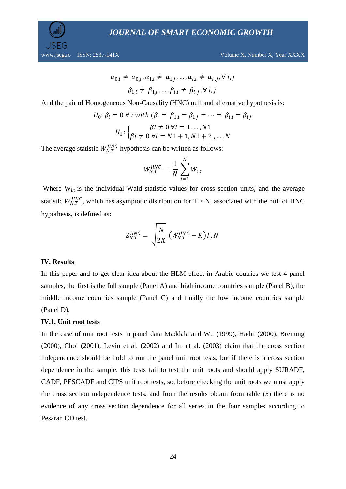www.jseg.ro ISSN: 2537-141X Volume X, Number X, Year XXXX

$$
\alpha_{0,i} \neq \alpha_{0,j}, \alpha_{1,i} \neq \alpha_{1,j}, \dots, \alpha_{l,i} \neq \alpha_{l,j}, \forall i, j
$$

$$
\beta_{1,i} \neq \beta_{1,j}, \dots, \beta_{l,i} \neq \beta_{l,j}, \forall i, j
$$

And the pair of Homogeneous Non-Causality (HNC) null and alternative hypothesis is:

$$
H_0: \beta_i = 0 \,\forall \, i \text{ with } (\beta_i = \beta_{1,i} = \beta_{1,j} = \dots = \beta_{l,i} = \beta_{l,j}
$$
\n
$$
H_1: \begin{cases} \beta i \neq 0 \,\forall i = 1, \dots, N1 \\ \beta i \neq 0 \,\forall i = N1 + 1, N1 + 2, \dots, N \end{cases}
$$

The average statistic  $W_{N,T}^{HNC}$  hypothesis can be written as follows:

$$
W_{N,T}^{HNC} = \frac{1}{N} \sum_{i=1}^{N} W_{i,t}
$$

Where  $W_{i,t}$  is the individual Wald statistic values for cross section units, and the average statistic  $W_{N,T}^{HNC}$ , which has asymptotic distribution for T > N, associated with the null of HNC hypothesis, is defined as:

$$
Z_{N,T}^{HNC} = \sqrt{\frac{N}{2K}} \left( W_{N,T}^{HNC} - K \right) T, N
$$

#### **IV. Results**

In this paper and to get clear idea about the HLM effect in Arabic coutries we test 4 panel samples, the first is the full sample (Panel A) and high income countries sample (Panel B), the middle income countries sample (Panel C) and finally the low income countries sample (Panel D).

#### **IV.1. Unit root tests**

In the case of unit root tests in panel data Maddala and Wu (1999), Hadri (2000), Breitung (2000), Choi (2001), Levin et al. (2002) and Im et al. (2003) claim that the cross section independence should be hold to run the panel unit root tests, but if there is a cross section dependence in the sample, this tests fail to test the unit roots and should apply SURADF, CADF, PESCADF and CIPS unit root tests, so, before checking the unit roots we must apply the cross section independence tests, and from the results obtain from table (5) there is no evidence of any cross section dependence for all series in the four samples according to Pesaran CD test.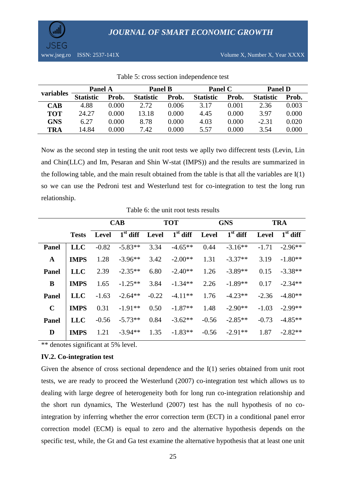

| variables  | <b>Panel A</b>   |       | <b>Panel B</b>   |       | <b>Panel C</b>   |       | <b>Panel D</b>   |       |
|------------|------------------|-------|------------------|-------|------------------|-------|------------------|-------|
|            | <b>Statistic</b> | Prob. | <b>Statistic</b> | Prob. | <b>Statistic</b> | Prob. | <b>Statistic</b> | Prob. |
| <b>CAB</b> | 4.88             | 0.000 | 2.72             | 0.006 | 3.17             | 0.001 | 2.36             | 0.003 |
| <b>TOT</b> | 24.27            | 0.000 | 13.18            | 0.000 | 4.45             | 0.000 | 3.97             | 0.000 |
| <b>GNS</b> | 6.27             | 0.000 | 8.78             | 0.000 | 4.03             | 0.000 | $-2.31$          | 0.020 |
| <b>TRA</b> | 14.84            | 0.000 | 7.42             | 0.000 | 5.57             | 0.000 | 3.54             | 0.000 |

Table 5: cross section independence test

Now as the second step in testing the unit root tests we aplly two diffecrent tests (Levin, Lin and Chin(LLC) and Im, Pesaran and Shin W-stat (IMPS)) and the results are summarized in the following table, and the main result obtained from the table is that all the variables are I(1) so we can use the Pedroni test and Westerlund test for co-integration to test the long run relationship.

Table 6: the unit root tests results

|              |              | <b>CAB</b> |            | <b>TOT</b> |            | <b>GNS</b> |            | <b>TRA</b>   |            |
|--------------|--------------|------------|------------|------------|------------|------------|------------|--------------|------------|
|              | <b>Tests</b> | Level      | $1st$ diff | Level      | $1st$ diff | Level      | $1st$ diff | <b>Level</b> | $1st$ diff |
| <b>Panel</b> | <b>LLC</b>   | $-0.82$    | $-5.83**$  | 3.34       | $-4.65**$  | 0.44       | $-3.16**$  | $-1.71$      | $-2.96**$  |
| $\mathbf A$  | <b>IMPS</b>  | 1.28       | $-3.96**$  | 3.42       | $-2.00**$  | 1.31       | $-3.37**$  | 3.19         | $-1.80**$  |
| <b>Panel</b> | <b>LLC</b>   | 2.39       | $-2.35**$  | 6.80       | $-2.40**$  | 1.26       | $-3.89**$  | 0.15         | $-3.38**$  |
| B            | <b>IMPS</b>  | 1.65       | $-1.25**$  | 3.84       | $-1.34**$  | 2.26       | $-1.89**$  | 0.17         | $-2.34**$  |
| Panel        | <b>LLC</b>   | $-1.63$    | $-2.64**$  | $-0.22$    | $-4.11**$  | 1.76       | $-4.23**$  | $-2.36$      | $-4.80**$  |
| $\mathbf C$  | <b>IMPS</b>  | 0.31       | $-1.91**$  | 0.50       | $-1.87**$  | 1.48       | $-2.90**$  | $-1.03$      | $-2.99**$  |
| <b>Panel</b> | <b>LLC</b>   | $-0.56$    | $-5.73**$  | 0.84       | $-3.62**$  | $-0.56$    | $-2.85**$  | $-0.73$      | $-4.85**$  |
| D            | <b>IMPS</b>  | 1.21       | $-3.94**$  | 1.35       | $-1.83**$  | $-0.56$    | $-2.91**$  | 1.87         | $-2.82**$  |

\*\* denotes significant at 5% level.

#### **IV.2. Co-integration test**

Given the absence of cross sectional dependence and the I(1) series obtained from unit root tests, we are ready to proceed the Westerlund (2007) co-integration test which allows us to dealing with large degree of heterogeneity both for long run co-integration relationship and the short run dynamics, The Westerlund (2007) test has the null hypothesis of no cointegration by inferring whether the error correction term (ECT) in a conditional panel error correction model (ECM) is equal to zero and the alternative hypothesis depends on the specific test, while, the Gt and Ga test examine the alternative hypothesis that at least one unit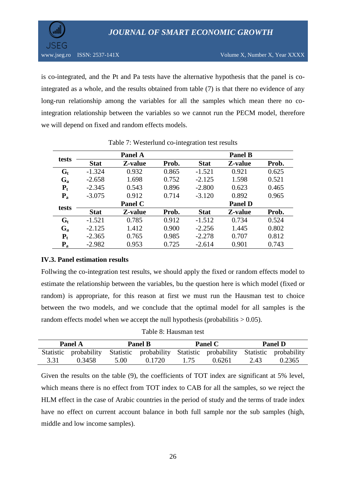

is co-integrated, and the Pt and Pa tests have the alternative hypothesis that the panel is cointegrated as a whole, and the results obtained from table (7) is that there no evidence of any long-run relationship among the variables for all the samples which mean there no cointegration relationship between the variables so we cannot run the PECM model, therefore we will depend on fixed and random effects models.

|                         |             | Panel A |       |             | <b>Panel B</b> |       |
|-------------------------|-------------|---------|-------|-------------|----------------|-------|
| tests                   | <b>Stat</b> | Z-value | Prob. | <b>Stat</b> | Z-value        | Prob. |
| $\mathbf{G}_\mathbf{t}$ | $-1.324$    | 0.932   | 0.865 | $-1.521$    | 0.921          | 0.625 |
| $G_{a}$                 | $-2.658$    | 1.698   | 0.752 | $-2.125$    | 1.598          | 0.521 |
| $P_t$                   | $-2.345$    | 0.543   | 0.896 | $-2.800$    | 0.623          | 0.465 |
| $P_{a}$                 | $-3.075$    | 0.912   | 0.714 | $-3.120$    | 0.892          | 0.965 |
|                         |             | Panel C |       |             | <b>Panel D</b> |       |
| tests                   | <b>Stat</b> | Z-value | Prob. | <b>Stat</b> | Z-value        | Prob. |
| $G_t$                   | $-1.521$    | 0.785   | 0.912 | $-1.512$    | 0.734          | 0.524 |
| $G_{a}$                 | $-2.125$    | 1.412   | 0.900 | $-2.256$    | 1.445          | 0.802 |
| $P_t$                   | $-2.365$    | 0.765   | 0.985 | $-2.278$    | 0.707          | 0.812 |
| $P_{a}$                 | $-2.982$    | 0.953   | 0.725 | $-2.614$    | 0.901          | 0.743 |

# **IV.3. Panel estimation results**

Follwing the co-integration test results, we should apply the fixed or random effects model to estimate the relationship between the variables, bu the question here is which model (fixed or random) is appropriate, for this reason at first we must run the Hausman test to choice between the two models, and we conclude that the optimal model for all samples is the random effects model when we accept the null hypothesis (probabilitis  $> 0.05$ ).

Table 8: Hausman test

| <b>Panel A</b> |                                                                                         | <b>Panel B</b> |        |      | <b>Panel C</b> | <b>Panel D</b> |        |
|----------------|-----------------------------------------------------------------------------------------|----------------|--------|------|----------------|----------------|--------|
|                | Statistic probability Statistic probability Statistic probability Statistic probability |                |        |      |                |                |        |
| 3.31           | 0.3458                                                                                  | 5.00           | 0.1720 | 1.75 | 0.6261         | 2.43           | 0.2365 |

Given the results on the table (9), the coefficients of TOT index are significant at 5% level, which means there is no effect from TOT index to CAB for all the samples, so we reject the HLM effect in the case of Arabic countries in the period of study and the terms of trade index have no effect on current account balance in both full sample nor the sub samples (high, middle and low income samples).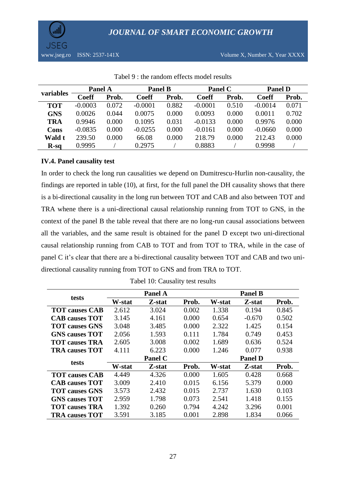

| variables  | Panel A   |       | <b>Panel B</b> |       | Panel C      |       | <b>Panel D</b> |       |
|------------|-----------|-------|----------------|-------|--------------|-------|----------------|-------|
|            | Coeff     | Prob. | <b>Coeff</b>   | Prob. | <b>Coeff</b> | Prob. | <b>Coeff</b>   | Prob. |
| <b>TOT</b> | $-0.0003$ | 0.072 | $-0.0001$      | 0.882 | $-0.0001$    | 0.510 | $-0.0014$      | 0.071 |
| <b>GNS</b> | 0.0026    | 0.044 | 0.0075         | 0.000 | 0.0093       | 0.000 | 0.0011         | 0.702 |
| <b>TRA</b> | 0.9946    | 0.000 | 0.1095         | 0.031 | $-0.0133$    | 0.000 | 0.9976         | 0.000 |
| Cons       | $-0.0835$ | 0.000 | $-0.0255$      | 0.000 | $-0.0161$    | 0.000 | $-0.0660$      | 0.000 |
| Wald t     | 239.50    | 0.000 | 66.08          | 0.000 | 218.79       | 0.000 | 212.43         | 0.000 |
| $R-sq$     | 0.9995    |       | 0.2975         |       | 0.8883       |       | 0.9998         |       |

Tabel 9 : the random effects model results

# **IV.4. Panel causality test**

In order to check the long run causalities we depend on Dumitrescu-Hurlin non-causality, the findings are reported in table (10), at first, for the full panel the DH causality shows that there is a bi-directional causality in the long run between TOT and CAB and also between TOT and TRA whene there is a uni-directional causal relationship running from TOT to GNS, in the context of the panel B the table reveal that there are no long-run causal associations between all the variables, and the same result is obtained for the panel D except two uni-directional causal relationship running from CAB to TOT and from TOT to TRA, while in the case of panel C it's clear that there are a bi-directional causality between TOT and CAB and two unidirectional causality running from TOT to GNS and from TRA to TOT.

|                              |        | <b>Panel A</b> |       |        | <b>Panel B</b> |       |
|------------------------------|--------|----------------|-------|--------|----------------|-------|
| tests                        | W-stat | Z-stat         | Prob. | W-stat | Z-stat         | Prob. |
| <b>TOT causes CAB</b>        | 2.612  | 3.024          | 0.002 | 1.338  | 0.194          | 0.845 |
| <b>CAB</b> causes <b>TOT</b> | 3.145  | 4.161          | 0.000 | 0.654  | $-0.670$       | 0.502 |
| <b>TOT causes GNS</b>        | 3.048  | 3.485          | 0.000 | 2.322  | 1.425          | 0.154 |
| <b>GNS causes TOT</b>        | 2.056  | 1.593          | 0.111 | 1.784  | 0.749          | 0.453 |
| <b>TOT causes TRA</b>        | 2.605  | 3.008          | 0.002 | 1.689  | 0.636          | 0.524 |
| <b>TRA causes TOT</b>        | 4.111  | 6.223          | 0.000 | 1.246  | 0.077          | 0.938 |
|                              |        | <b>Panel C</b> |       |        | <b>Panel D</b> |       |
| tests                        | W-stat | Z-stat         | Prob. | W-stat | Z-stat         | Prob. |
| <b>TOT causes CAB</b>        | 4.449  | 4.326          | 0.000 | 1.605  | 0.428          | 0.668 |
| <b>CAB</b> causes TOT        | 3.009  | 2.410          | 0.015 | 6.156  | 5.379          | 0.000 |
| <b>TOT causes GNS</b>        | 3.573  | 2.432          | 0.015 | 2.737  | 1.630          | 0.103 |
| <b>GNS causes TOT</b>        | 2.959  | 1.798          | 0.073 | 2.541  | 1.418          | 0.155 |
| <b>TOT causes TRA</b>        | 1.392  | 0.260          | 0.794 | 4.242  | 3.296          | 0.001 |
| <b>TRA causes TOT</b>        | 3.591  | 3.185          | 0.001 | 2.898  | 1.834          | 0.066 |

Tabel 10: Causality test results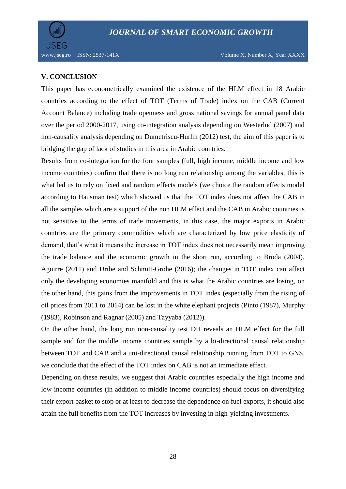

www.jseg.ro ISSN: 2537-141X Volume X, Number X, Year XXXX

# **V. CONCLUSION**

This paper has econometrically examined the existence of the HLM effect in 18 Arabic countries according to the effect of TOT (Terms of Trade) index on the CAB (Current Account Balance) including trade openness and gross national savings for annual panel data over the period 2000-2017, using co-integration analysis depending on Westerlud (2007) and non-causality analysis depending on Dumetriscu-Hurlin (2012) test, the aim of this paper is to bridging the gap of lack of studies in this area in Arabic countries.

Results from co-integration for the four samples (full, high income, middle income and low income countries) confirm that there is no long run relationship among the variables, this is what led us to rely on fixed and random effects models (we choice the random effects model according to Hausman test) which showed us that the TOT index does not affect the CAB in all the samples which are a support of the non HLM effect and the CAB in Arabic countries is not sensitive to the terms of trade movements, in this case, the major exports in Arabic countries are the primary commodities which are characterized by low price elasticity of demand, that's what it means the increase in TOT index does not necessarily mean improving the trade balance and the economic growth in the short run, according to Broda (2004), Aguirre (2011) and Uribe and Schmitt-Grohe (2016); the changes in TOT index can affect only the developing economies manifold and this is what the Arabic countries are losing, on the other hand, this gains from the improvements in TOT index (especially from the rising of oil prices from 2011 to 2014) can be lost in the white elephant projects (Pinto (1987), Murphy (1983), Robinson and Ragnar (2005) and Tayyaba (2012)).

On the other hand, the long run non-causality test DH reveals an HLM effect for the full sample and for the middle income countries sample by a bi-directional causal relationship between TOT and CAB and a uni-directional causal relationship running from TOT to GNS, we conclude that the effect of the TOT index on CAB is not an immediate effect.

Depending on these results, we suggest that Arabic countries especially the high income and low income countries (in addition to middle income countries) should focus on diversifying their export basket to stop or at least to decrease the dependence on fuel exports, it should also attain the full benefits from the TOT increases by investing in high-yielding investments.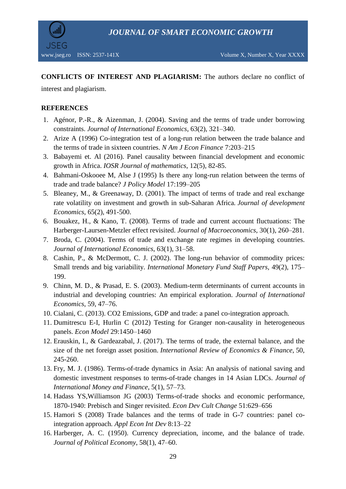

**CONFLICTS OF INTEREST AND PLAGIARISM:** The authors declare no conflict of

interest and plagiarism.

# **REFERENCES**

- 1. Agénor, P.-R., & Aizenman, J. (2004). Saving and the terms of trade under borrowing constraints. *Journal of International Economics*, 63(2), 321–340.
- 2. Arize A (1996) Co-integration test of a long-run relation between the trade balance and the terms of trade in sixteen countries. *N Am J Econ Finance* 7:203–215
- 3. Babayemi et. Al (2016). Panel causality between financial development and economic growth in Africa. *IOSR Journal of mathematics*, 12(5), 82-85.
- 4. Bahmani-Oskooee M, Alse J (1995) Is there any long-run relation between the terms of trade and trade balance? *J Policy Model* 17:199–205
- 5. Bleaney, M., & Greenaway, D. (2001). The impact of terms of trade and real exchange rate volatility on investment and growth in sub-Saharan Africa*. Journal of development Economics*, 65(2), 491-500.
- 6. Bouakez, H., & Kano, T. (2008). Terms of trade and current account fluctuations: The Harberger-Laursen-Metzler effect revisited. *Journal of Macroeconomics,* 30(1), 260–281.
- 7. Broda, C. (2004). Terms of trade and exchange rate regimes in developing countries. *Journal of International Economics*, 63(1), 31–58.
- 8. Cashin, P., & McDermott, C. J. (2002). The long-run behavior of commodity prices: Small trends and big variability. *International Monetary Fund Staff Papers,* 49(2), 175– 199.
- 9. Chinn, M. D., & Prasad, E. S. (2003). Medium-term determinants of current accounts in industrial and developing countries: An empirical exploration. *Journal of International Economics*, 59, 47–76.
- 10. Cialani, C. (2013). CO2 Emissions, GDP and trade: a panel co-integration approach.
- 11. Dumitrescu E-I, Hurlin C (2012) Testing for Granger non-causality in heterogeneous panels. *Econ Model* 29:1450–1460
- 12. Erauskin, I., & Gardeazabal, J. (2017). The terms of trade, the external balance, and the size of the net foreign asset position. *International Review of Economics & Finance*, 50, 245-260.
- 13. Fry, M. J. (1986). Terms-of-trade dynamics in Asia: An analysis of national saving and domestic investment responses to terms-of-trade changes in 14 Asian LDCs. *Journal of International Money and Finance*, 5(1), 57–73.
- 14. Hadass YS,Williamson JG (2003) Terms-of-trade shocks and economic performance, 1870-1940: Prebisch and Singer revisited. *Econ Dev Cult Change* 51:629–656
- 15. Hamori S (2008) Trade balances and the terms of trade in G-7 countries: panel cointegration approach*. Appl Econ Int Dev* 8:13–22
- 16. Harberger, A. C. (1950). Currency depreciation, income, and the balance of trade. *Journal of Political Economy*, 58(1), 47–60.